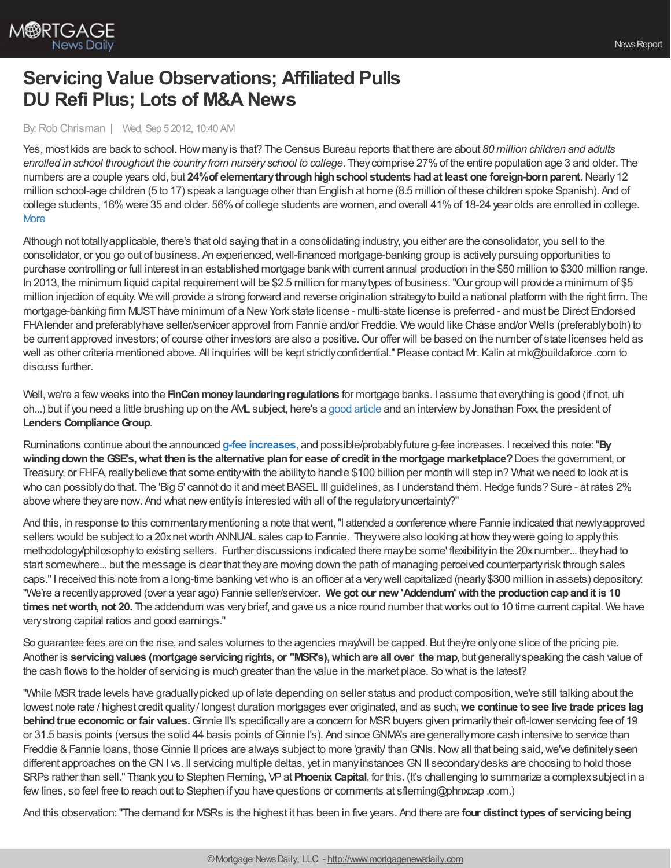

## **Servicing Value Observations; Affiliated Pulls DU Refi Plus; Lots of M&A News**

## By: Rob Chrisman | Wed, Sep 5 2012, 10:40 AM

Yes, most kids are back to school.How manyis that? The Census Bureau reports that there are about *80 million children and adults enrolled in school throughout the country from nursery school to college*. Theycomprise 27%of the entire population age 3 and older. The numbers are a couple years old, but **24%of elementarythroughhighschool students hadat least one foreign-bornparent**.Nearly12 million school-age children (5 to 17) speak a language other than English at home (8.5 million of these children spoke Spanish). And of college students, 16%were 35 and older. 56%of college students are women, and overall 41%of 18-24 year olds are enrolled in college. **[More](http://www.census.gov/hhes/school/data/cps/2010/tables.html)** 

Although not totallyapplicable, there's that old saying that in a consolidating industry, you either are the consolidator, you sell to the consolidator, or you go out of business. An experienced,well-financed mortgage-banking group is activelypursuing opportunities to purchase controlling or full interest in an established mortgage bankwith current annual production in the \$50 million to \$300 million range. In 2013, the minimum liquid capital requirementwill be \$2.5 million for manytypes of business."Our group will provide a minimum of \$5 million injection of equity. We will provide a strong forward and reverse origination strategyto build a national platform with the right firm. The mortgage-banking firm MUSThave minimum of a NewYork state license - multi-state license is preferred - and must be Direct Endorsed FHAlender and preferablyhave seller/servicer approval from Fannie and/or Freddie. We would like Chase and/or Wells (preferablyboth) to be current approved investors; of course other investors are also a positive. Our offer will be based on the number of state licenses held as well as other criteria mentioned above. All inquiries will be kept strictly confidential." Please contact Mr. Kalin at mk@buildaforce .com to discuss further.

Well, we're a few weeks into the **FinCen money laundering regulations** for mortgage banks. I assume that everything is good (if not, uh oh...) but if you need a little brushing up on the AML subject, here's a good [article](http://lenderscompliancegroup.com/20.html) and an interviewbyJonathan Foxx, the president of **Lenders Compliance Group.** 

Ruminations continue about the announced **g-fee [increases](http://www.mortgagenewsdaily.com/08312012_gse_guarantee_fees.asp)**, and possible/probablyfuture g-fee increases. I received this note:"**By windingdowntheGSE's,what thenis the alternative planfor ease of credit inthe mortgage marketplace?**Does the government, or Treasury, or FHFA, reallybelieve that some entitywith the abilityto handle \$100 billion per month will step in? Whatwe need to look at is who can possibly do that. The 'Big 5' cannot do it and meet BASEL III guidelines, as I understand them. Hedge funds? Sure - at rates 2% above where theyare now. And what newentityis interested with all of the regulatoryuncertainty?"

And this, in response to this commentary mentioning a note that went, "I attended a conference where Fannie indicated that newly approved sellers would be subject to a 20xnet worth ANNUAL sales cap to Fannie. They were also looking at how they were going to apply this methodology/philosophyto existing sellers. Further discussions indicated there may be some' flexibility in the 20x number... they had to start somewhere... but the message is clear that theyare moving down the path of managing perceived counterpartyrisk through sales caps."I received this note from a long-time banking vetwho is an officer at a verywell capitalized (nearly\$300 million in assets) depository: "We're a recentlyapproved (over a year ago) Fannie seller/servicer. **We got our new 'Addendum' withthe productioncapandit is 10 times networth, not 20.** The addendum was verybrief, and gave us a nice round number thatworks out to 10 time current capital. We have verystrong capital ratios and good earnings."

So guarantee fees are on the rise, and sales volumes to the agencies may/will be capped. But they're only one slice of the pricing pie. Another is **servicingvalues (mortgage servicingrights, or "MSR's),whichare all over the map**, but generallyspeaking the cash value of the cash flows to the holder of servicing is much greater than the value in the market place. So what is the latest?

"While MSR trade levels have gradually picked up of late depending on seller status and product composition, we're still talking about the lowest note rate / highest credit quality/ longest duration mortgages ever originated, and as such,**we continue tosee live trade prices lag behind true economic or fair values.** Ginnie II's specifically are a concern for MSR buyers given primarily their oft-lower servicing fee of 19 or 31.5 basis points (versus the solid 44 basis points of Ginnie I's). And since GNMA's are generally more cash intensive to service than Freddie & Fannie loans, those Ginnie II prices are always subject to more 'gravity' than GNIs. Now all that being said, we've definitely seen different approaches on the GNI vs. II servicing multiple deltas, yet in many instances GNII secondary desks are choosing to hold those SRPs rather than sell." Thank you to Stephen Fleming, VP at Phoenix Capital, for this. (It's challenging to summarize a complex subject in a fewlines, so feel free to reach out to Stephen if you have questions or comments at sfleming@phnxcap .com.)

And this observation:"The demand for MSRs is the highest it has been in five years. And there are **four distinct types of servicingbeing**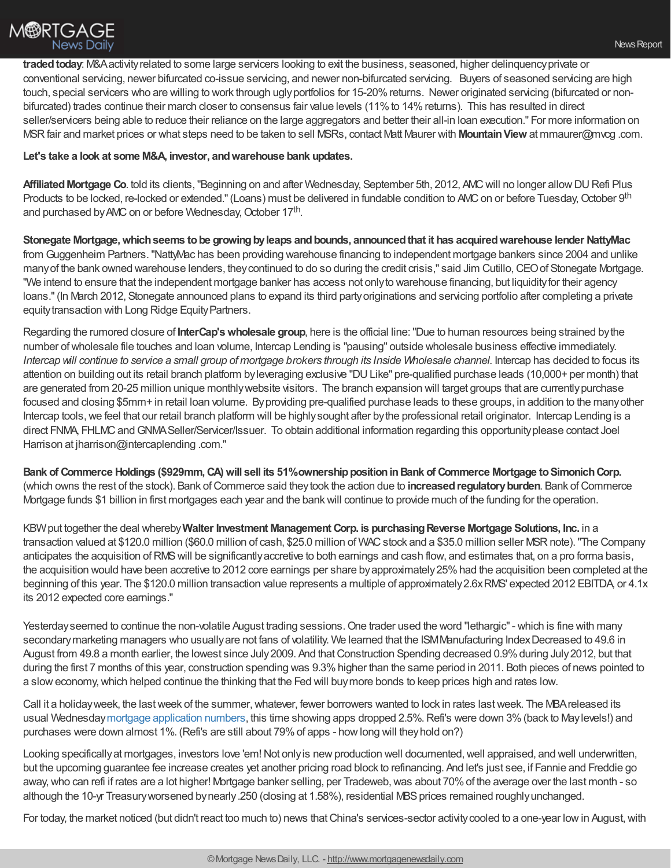traded today: M&A activity related to some large servicers looking to exit the business, seasoned, higher delinquency private or conventional servicing, newer bifurcated co-issue servicing, and newer non-bifurcated servicing. Buyers of seasoned servicing are high touch, special servicers who are willing to work through ugly portfolios for 15-20% returns. Newer originated servicing (bifurcated or nonbifurcated) trades continue their march closer to consensus fair value levels (11% to 14% returns). This has resulted in direct seller/servicers being able to reduce their reliance on the large aggregators and better their all-in loan execution." For more information on MSRfair and market prices or what steps need to be taken to sell MSRs, contact Matt Maurer with **MountainView** at mmaurer@mvcg .com.

## **Let's take a look at some M&A, investor, andwarehouse bank updates.**

**Affiliated Mortgage Co.** told its clients, "Beginning on and after Wednesday, September 5th, 2012, AMC will no longer allow DU Refi Plus Products to be locked, re-locked or extended." (Loans) must be delivered in fundable condition to AMC on or before Tuesday, October 9<sup>th</sup> and purchased by AMC on or before Wednesday, October 17<sup>th</sup>.

**Stonegate Mortgage,whichseems tobe growingbyleaps andbounds, announcedthat it has acquiredwarehouse lender NattyMac** from Guggenheim Partners."NattyMac has been providing warehouse financing to independent mortgage bankers since 2004 and unlike manyof the bank owned warehouse lenders, theycontinued to do so during the credit crisis," said Jim Cutillo,CEOof Stonegate Mortgage. "We intend to ensure that the independent mortgage banker has access not onlyto warehouse financing, but liquidityfor their agency loans."(In March 2012, Stonegate announced plans to expand its third partyoriginations and servicing portfolio after completing a private equity transaction with Long Ridge Equity Partners.

Regarding the rumored closure of **InterCap'swholesale group**, here is the official line:"Due to human resources being strained bythe number of wholesale file touches and loan volume, Intercap Lending is "pausing" outside wholesale business effective immediately. Intercap will continue to service a small group of mortgage brokers through its Inside Wholesale channel. Intercap has decided to focus its attention on building out its retail branch platform byleveraging exclusive "DULike" pre-qualified purchase leads (10,000+ per month) that are generated from 20-25 million unique monthlywebsite visitors. The branch expansion will target groups that are currentlypurchase focused and closing \$5mm+ in retail loan volume. Byproviding pre-qualified purchase leads to these groups, in addition to the manyother Intercap tools, we feel that our retail branch platform will be highly sought after by the professional retail originator. Intercap Lending is a direct FNMA, FHLMC and GNMA Seller/Servicer/Issuer. To obtain additional information regarding this opportunity please contact Joel Harrison at jharrison@intercaplending .com."

**Bank of Commerce Holdings (\$929mm,CA)will sell its 51%ownershippositioninBank of Commerce Mortgage toSimonichCorp.** (which owns the rest of the stock). Bank of Commerce said they took the action due to **increased regulatory burden**. Bank of Commerce Mortgage funds \$1 billion in first mortgages each year and the bankwill continue to provide much of the funding for the operation.

KBWput together the deal whereby**Walter Investment Management Corp. is purchasingReverse Mortgage Solutions, Inc.** in a transaction valued at \$120.0 million (\$60.0 million of cash, \$25.0 million of WACstock and a \$35.0 million seller MSRnote)."The Company anticipates the acquisition ofRMSwill be significantlyaccretive to both earnings and cash flow, and estimates that, on a pro forma basis, the acquisition would have been accretive to 2012 core earnings per share byapproximately25%had the acquisition been completed at the beginning of this year. The \$120.0 million transaction value represents a multiple of approximately2.6xRMS' expected 2012 EBITDA, or 4.1x its 2012 expected core earnings."

Yesterday seemed to continue the non-volatile August trading sessions. One trader used the word "lethargic" - which is fine with many secondary marketing managers who usually are not fans of volatility. We learned that the ISM Manufacturing Index Decreased to 49.6 in August from 49.8 a month earlier, the lowest since July 2009. And that Construction Spending decreased 0.9% during July 2012, but that during the first 7 months of this year, construction spending was 9.3%higher than the same period in 2011. Both pieces of news pointed to a sloweconomy,which helped continue the thinking that the Fed will buymore bonds to keep prices high and rates low.

Call it a holiday week, the last week of the summer, whatever, fewer borrowers wanted to lock in rates last week. The MBA released its usual Wednesday mortgage [application](http://www.mortgagenewsdaily.com/09052012_applications_volume.asp) numbers, this time showing apps dropped 2.5%. Refi's were down 3% (back to Maylevels!) and purchases were down almost 1%. (Refi's are still about 79%of apps - howlong will theyhold on?)

Looking specifically at mortgages, investors love 'em! Not only is new production well documented, well appraised, and well underwritten, but the upcoming guarantee fee increase creates yet another pricing road block to refinancing. And let's just see, if Fannie and Freddie go away,who can refi if rates are a lot higher! Mortgage banker selling, per Tradeweb,was about 70%of the average over the last month - so although the 10-yr Treasury worsened by nearly .250 (closing at 1.58%), residential MBS prices remained roughly unchanged.

For today, the market noticed (but didn't react too much to) news that China's services-sector activity cooled to a one-year low in August, with